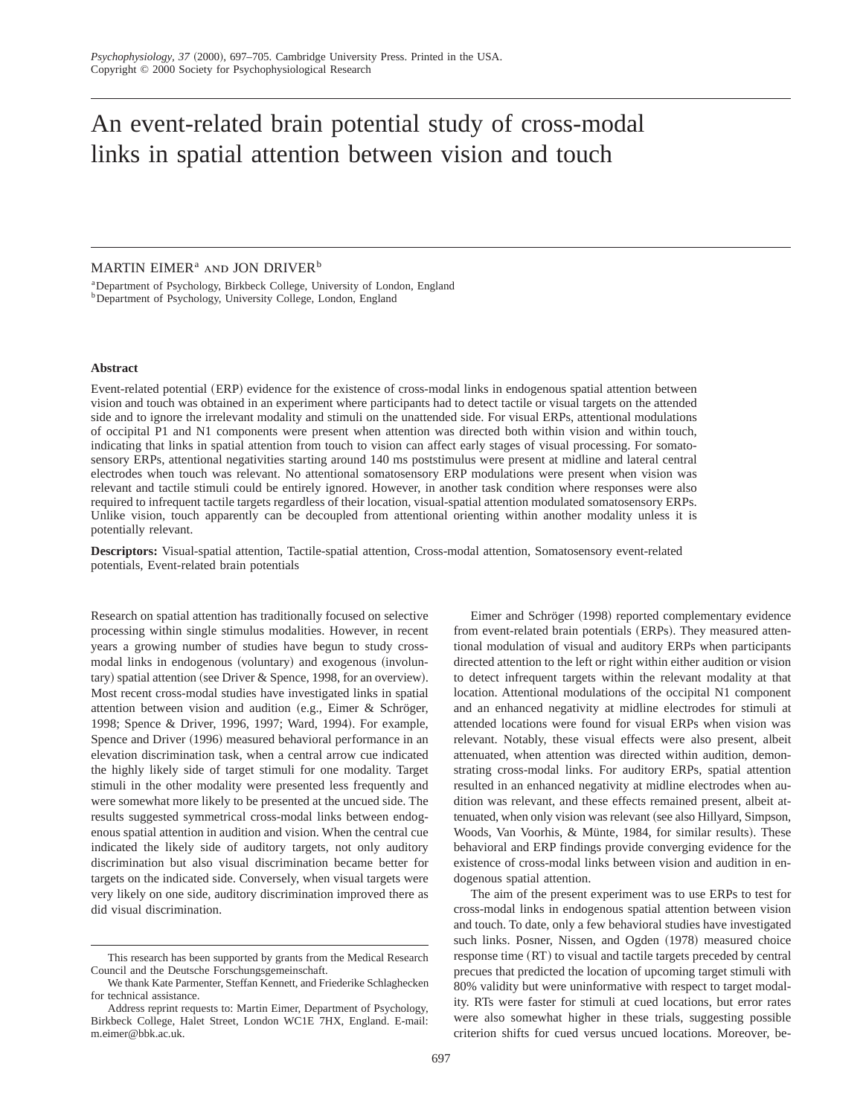# An event-related brain potential study of cross-modal links in spatial attention between vision and touch

## MARTIN EIMER<sup>a</sup> AND JON DRIVER<sup>b</sup>

<sup>a</sup>Department of Psychology, Birkbeck College, University of London, England **b** Department of Psychology, University College, London, England

## **Abstract**

Event-related potential (ERP) evidence for the existence of cross-modal links in endogenous spatial attention between vision and touch was obtained in an experiment where participants had to detect tactile or visual targets on the attended side and to ignore the irrelevant modality and stimuli on the unattended side. For visual ERPs, attentional modulations of occipital P1 and N1 components were present when attention was directed both within vision and within touch, indicating that links in spatial attention from touch to vision can affect early stages of visual processing. For somatosensory ERPs, attentional negativities starting around 140 ms poststimulus were present at midline and lateral central electrodes when touch was relevant. No attentional somatosensory ERP modulations were present when vision was relevant and tactile stimuli could be entirely ignored. However, in another task condition where responses were also required to infrequent tactile targets regardless of their location, visual-spatial attention modulated somatosensory ERPs. Unlike vision, touch apparently can be decoupled from attentional orienting within another modality unless it is potentially relevant.

**Descriptors:** Visual-spatial attention, Tactile-spatial attention, Cross-modal attention, Somatosensory event-related potentials, Event-related brain potentials

Research on spatial attention has traditionally focused on selective processing within single stimulus modalities. However, in recent years a growing number of studies have begun to study crossmodal links in endogenous (voluntary) and exogenous (involuntary) spatial attention (see Driver & Spence, 1998, for an overview). Most recent cross-modal studies have investigated links in spatial attention between vision and audition  $(e.g., Eimer & Schröger,$ 1998; Spence & Driver, 1996, 1997; Ward, 1994). For example, Spence and Driver (1996) measured behavioral performance in an elevation discrimination task, when a central arrow cue indicated the highly likely side of target stimuli for one modality. Target stimuli in the other modality were presented less frequently and were somewhat more likely to be presented at the uncued side. The results suggested symmetrical cross-modal links between endogenous spatial attention in audition and vision. When the central cue indicated the likely side of auditory targets, not only auditory discrimination but also visual discrimination became better for targets on the indicated side. Conversely, when visual targets were very likely on one side, auditory discrimination improved there as did visual discrimination.

Eimer and Schröger (1998) reported complementary evidence from event-related brain potentials (ERPs). They measured attentional modulation of visual and auditory ERPs when participants directed attention to the left or right within either audition or vision to detect infrequent targets within the relevant modality at that location. Attentional modulations of the occipital N1 component and an enhanced negativity at midline electrodes for stimuli at attended locations were found for visual ERPs when vision was relevant. Notably, these visual effects were also present, albeit attenuated, when attention was directed within audition, demonstrating cross-modal links. For auditory ERPs, spatial attention resulted in an enhanced negativity at midline electrodes when audition was relevant, and these effects remained present, albeit attenuated, when only vision was relevant (see also Hillyard, Simpson, Woods, Van Voorhis, & Münte, 1984, for similar results). These behavioral and ERP findings provide converging evidence for the existence of cross-modal links between vision and audition in endogenous spatial attention.

The aim of the present experiment was to use ERPs to test for cross-modal links in endogenous spatial attention between vision and touch. To date, only a few behavioral studies have investigated such links. Posner, Nissen, and Ogden (1978) measured choice response time (RT) to visual and tactile targets preceded by central precues that predicted the location of upcoming target stimuli with 80% validity but were uninformative with respect to target modality. RTs were faster for stimuli at cued locations, but error rates were also somewhat higher in these trials, suggesting possible criterion shifts for cued versus uncued locations. Moreover, be-

This research has been supported by grants from the Medical Research Council and the Deutsche Forschungsgemeinschaft.

We thank Kate Parmenter, Steffan Kennett, and Friederike Schlaghecken for technical assistance.

Address reprint requests to: Martin Eimer, Department of Psychology, Birkbeck College, Halet Street, London WC1E 7HX, England. E-mail: m.eimer@bbk.ac.uk.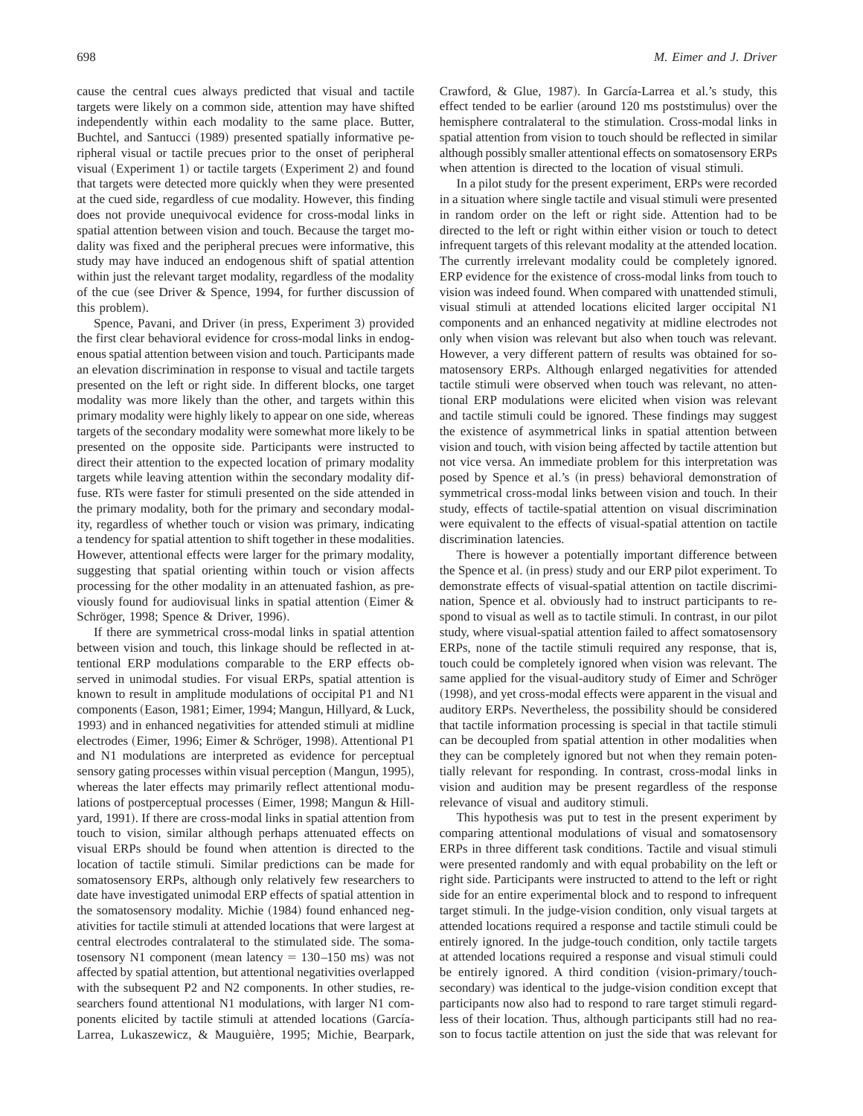cause the central cues always predicted that visual and tactile targets were likely on a common side, attention may have shifted independently within each modality to the same place. Butter, Buchtel, and Santucci (1989) presented spatially informative peripheral visual or tactile precues prior to the onset of peripheral visual (Experiment 1) or tactile targets (Experiment 2) and found that targets were detected more quickly when they were presented at the cued side, regardless of cue modality. However, this finding does not provide unequivocal evidence for cross-modal links in spatial attention between vision and touch. Because the target modality was fixed and the peripheral precues were informative, this study may have induced an endogenous shift of spatial attention within just the relevant target modality, regardless of the modality of the cue (see Driver & Spence, 1994, for further discussion of this problem).

Spence, Pavani, and Driver (in press, Experiment 3) provided the first clear behavioral evidence for cross-modal links in endogenous spatial attention between vision and touch. Participants made an elevation discrimination in response to visual and tactile targets presented on the left or right side. In different blocks, one target modality was more likely than the other, and targets within this primary modality were highly likely to appear on one side, whereas targets of the secondary modality were somewhat more likely to be presented on the opposite side. Participants were instructed to direct their attention to the expected location of primary modality targets while leaving attention within the secondary modality diffuse. RTs were faster for stimuli presented on the side attended in the primary modality, both for the primary and secondary modality, regardless of whether touch or vision was primary, indicating a tendency for spatial attention to shift together in these modalities. However, attentional effects were larger for the primary modality, suggesting that spatial orienting within touch or vision affects processing for the other modality in an attenuated fashion, as previously found for audiovisual links in spatial attention (Eimer  $&$ Schröger, 1998; Spence & Driver, 1996).

If there are symmetrical cross-modal links in spatial attention between vision and touch, this linkage should be reflected in attentional ERP modulations comparable to the ERP effects observed in unimodal studies. For visual ERPs, spatial attention is known to result in amplitude modulations of occipital P1 and N1 components (Eason, 1981; Eimer, 1994; Mangun, Hillyard, & Luck, 1993) and in enhanced negativities for attended stimuli at midline electrodes (Eimer, 1996; Eimer & Schröger, 1998). Attentional P1 and N1 modulations are interpreted as evidence for perceptual sensory gating processes within visual perception (Mangun, 1995), whereas the later effects may primarily reflect attentional modulations of postperceptual processes (Eimer, 1998; Mangun & Hillyard, 1991). If there are cross-modal links in spatial attention from touch to vision, similar although perhaps attenuated effects on visual ERPs should be found when attention is directed to the location of tactile stimuli. Similar predictions can be made for somatosensory ERPs, although only relatively few researchers to date have investigated unimodal ERP effects of spatial attention in the somatosensory modality. Michie (1984) found enhanced negativities for tactile stimuli at attended locations that were largest at central electrodes contralateral to the stimulated side. The somatosensory N1 component (mean latency  $= 130-150$  ms) was not affected by spatial attention, but attentional negativities overlapped with the subsequent P2 and N2 components. In other studies, researchers found attentional N1 modulations, with larger N1 components elicited by tactile stimuli at attended locations (García-Larrea, Lukaszewicz, & Mauguière, 1995; Michie, Bearpark,

Crawford, & Glue, 1987). In García-Larrea et al.'s study, this effect tended to be earlier (around 120 ms poststimulus) over the hemisphere contralateral to the stimulation. Cross-modal links in spatial attention from vision to touch should be reflected in similar although possibly smaller attentional effects on somatosensory ERPs when attention is directed to the location of visual stimuli.

In a pilot study for the present experiment, ERPs were recorded in a situation where single tactile and visual stimuli were presented in random order on the left or right side. Attention had to be directed to the left or right within either vision or touch to detect infrequent targets of this relevant modality at the attended location. The currently irrelevant modality could be completely ignored. ERP evidence for the existence of cross-modal links from touch to vision was indeed found. When compared with unattended stimuli, visual stimuli at attended locations elicited larger occipital N1 components and an enhanced negativity at midline electrodes not only when vision was relevant but also when touch was relevant. However, a very different pattern of results was obtained for somatosensory ERPs. Although enlarged negativities for attended tactile stimuli were observed when touch was relevant, no attentional ERP modulations were elicited when vision was relevant and tactile stimuli could be ignored. These findings may suggest the existence of asymmetrical links in spatial attention between vision and touch, with vision being affected by tactile attention but not vice versa. An immediate problem for this interpretation was posed by Spence et al.'s (in press) behavioral demonstration of symmetrical cross-modal links between vision and touch. In their study, effects of tactile-spatial attention on visual discrimination were equivalent to the effects of visual-spatial attention on tactile discrimination latencies.

There is however a potentially important difference between the Spence et al. (in press) study and our ERP pilot experiment. To demonstrate effects of visual-spatial attention on tactile discrimination, Spence et al. obviously had to instruct participants to respond to visual as well as to tactile stimuli. In contrast, in our pilot study, where visual-spatial attention failed to affect somatosensory ERPs, none of the tactile stimuli required any response, that is, touch could be completely ignored when vision was relevant. The same applied for the visual-auditory study of Eimer and Schröger (1998), and yet cross-modal effects were apparent in the visual and auditory ERPs. Nevertheless, the possibility should be considered that tactile information processing is special in that tactile stimuli can be decoupled from spatial attention in other modalities when they can be completely ignored but not when they remain potentially relevant for responding. In contrast, cross-modal links in vision and audition may be present regardless of the response relevance of visual and auditory stimuli.

This hypothesis was put to test in the present experiment by comparing attentional modulations of visual and somatosensory ERPs in three different task conditions. Tactile and visual stimuli were presented randomly and with equal probability on the left or right side. Participants were instructed to attend to the left or right side for an entire experimental block and to respond to infrequent target stimuli. In the judge-vision condition, only visual targets at attended locations required a response and tactile stimuli could be entirely ignored. In the judge-touch condition, only tactile targets at attended locations required a response and visual stimuli could be entirely ignored. A third condition (vision-primary/touchsecondary) was identical to the judge-vision condition except that participants now also had to respond to rare target stimuli regardless of their location. Thus, although participants still had no reason to focus tactile attention on just the side that was relevant for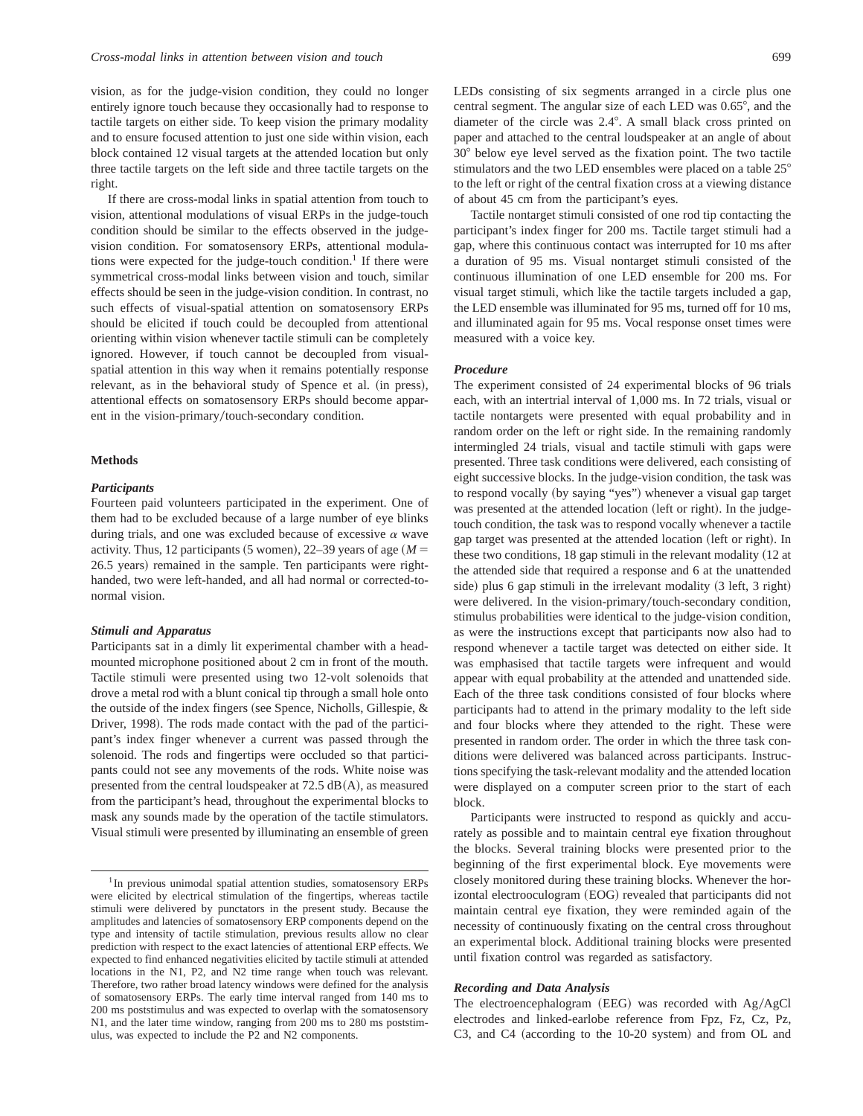vision, as for the judge-vision condition, they could no longer entirely ignore touch because they occasionally had to response to tactile targets on either side. To keep vision the primary modality and to ensure focused attention to just one side within vision, each block contained 12 visual targets at the attended location but only three tactile targets on the left side and three tactile targets on the right.

If there are cross-modal links in spatial attention from touch to vision, attentional modulations of visual ERPs in the judge-touch condition should be similar to the effects observed in the judgevision condition. For somatosensory ERPs, attentional modulations were expected for the judge-touch condition.<sup>1</sup> If there were symmetrical cross-modal links between vision and touch, similar effects should be seen in the judge-vision condition. In contrast, no such effects of visual-spatial attention on somatosensory ERPs should be elicited if touch could be decoupled from attentional orienting within vision whenever tactile stimuli can be completely ignored. However, if touch cannot be decoupled from visualspatial attention in this way when it remains potentially response relevant, as in the behavioral study of Spence et al. (in press), attentional effects on somatosensory ERPs should become apparent in the vision-primary/touch-secondary condition.

#### **Methods**

## *Participants*

Fourteen paid volunteers participated in the experiment. One of them had to be excluded because of a large number of eye blinks during trials, and one was excluded because of excessive  $\alpha$  wave activity. Thus, 12 participants (5 women), 22–39 years of age  $(M =$ 26.5 years) remained in the sample. Ten participants were righthanded, two were left-handed, and all had normal or corrected-tonormal vision.

#### *Stimuli and Apparatus*

Participants sat in a dimly lit experimental chamber with a headmounted microphone positioned about 2 cm in front of the mouth. Tactile stimuli were presented using two 12-volt solenoids that drove a metal rod with a blunt conical tip through a small hole onto the outside of the index fingers (see Spence, Nicholls, Gillespie,  $\&$ Driver, 1998). The rods made contact with the pad of the participant's index finger whenever a current was passed through the solenoid. The rods and fingertips were occluded so that participants could not see any movements of the rods. White noise was presented from the central loudspeaker at  $72.5~dB(A)$ , as measured from the participant's head, throughout the experimental blocks to mask any sounds made by the operation of the tactile stimulators. Visual stimuli were presented by illuminating an ensemble of green LEDs consisting of six segments arranged in a circle plus one central segment. The angular size of each LED was 0.65°, and the diameter of the circle was 2.4°. A small black cross printed on paper and attached to the central loudspeaker at an angle of about 30° below eye level served as the fixation point. The two tactile stimulators and the two LED ensembles were placed on a table 25° to the left or right of the central fixation cross at a viewing distance of about 45 cm from the participant's eyes.

Tactile nontarget stimuli consisted of one rod tip contacting the participant's index finger for 200 ms. Tactile target stimuli had a gap, where this continuous contact was interrupted for 10 ms after a duration of 95 ms. Visual nontarget stimuli consisted of the continuous illumination of one LED ensemble for 200 ms. For visual target stimuli, which like the tactile targets included a gap, the LED ensemble was illuminated for 95 ms, turned off for 10 ms, and illuminated again for 95 ms. Vocal response onset times were measured with a voice key.

## *Procedure*

The experiment consisted of 24 experimental blocks of 96 trials each, with an intertrial interval of 1,000 ms. In 72 trials, visual or tactile nontargets were presented with equal probability and in random order on the left or right side. In the remaining randomly intermingled 24 trials, visual and tactile stimuli with gaps were presented. Three task conditions were delivered, each consisting of eight successive blocks. In the judge-vision condition, the task was to respond vocally (by saying "yes") whenever a visual gap target was presented at the attended location (left or right). In the judgetouch condition, the task was to respond vocally whenever a tactile gap target was presented at the attended location (left or right). In these two conditions,  $18$  gap stimuli in the relevant modality  $(12$  at the attended side that required a response and 6 at the unattended side) plus 6 gap stimuli in the irrelevant modality  $(3 \text{ left}, 3 \text{ right})$ were delivered. In the vision-primary/touch-secondary condition, stimulus probabilities were identical to the judge-vision condition, as were the instructions except that participants now also had to respond whenever a tactile target was detected on either side. It was emphasised that tactile targets were infrequent and would appear with equal probability at the attended and unattended side. Each of the three task conditions consisted of four blocks where participants had to attend in the primary modality to the left side and four blocks where they attended to the right. These were presented in random order. The order in which the three task conditions were delivered was balanced across participants. Instructions specifying the task-relevant modality and the attended location were displayed on a computer screen prior to the start of each block.

Participants were instructed to respond as quickly and accurately as possible and to maintain central eye fixation throughout the blocks. Several training blocks were presented prior to the beginning of the first experimental block. Eye movements were closely monitored during these training blocks. Whenever the horizontal electrooculogram (EOG) revealed that participants did not maintain central eye fixation, they were reminded again of the necessity of continuously fixating on the central cross throughout an experimental block. Additional training blocks were presented until fixation control was regarded as satisfactory.

#### *Recording and Data Analysis*

The electroencephalogram  $(EEG)$  was recorded with Ag/AgCl electrodes and linked-earlobe reference from Fpz, Fz, Cz, Pz,  $C3$ , and  $C4$  (according to the 10-20 system) and from OL and

<sup>&</sup>lt;sup>1</sup> In previous unimodal spatial attention studies, somatosensory ERPs were elicited by electrical stimulation of the fingertips, whereas tactile stimuli were delivered by punctators in the present study. Because the amplitudes and latencies of somatosensory ERP components depend on the type and intensity of tactile stimulation, previous results allow no clear prediction with respect to the exact latencies of attentional ERP effects. We expected to find enhanced negativities elicited by tactile stimuli at attended locations in the N1, P2, and N2 time range when touch was relevant. Therefore, two rather broad latency windows were defined for the analysis of somatosensory ERPs. The early time interval ranged from 140 ms to 200 ms poststimulus and was expected to overlap with the somatosensory N1, and the later time window, ranging from 200 ms to 280 ms poststimulus, was expected to include the P2 and N2 components.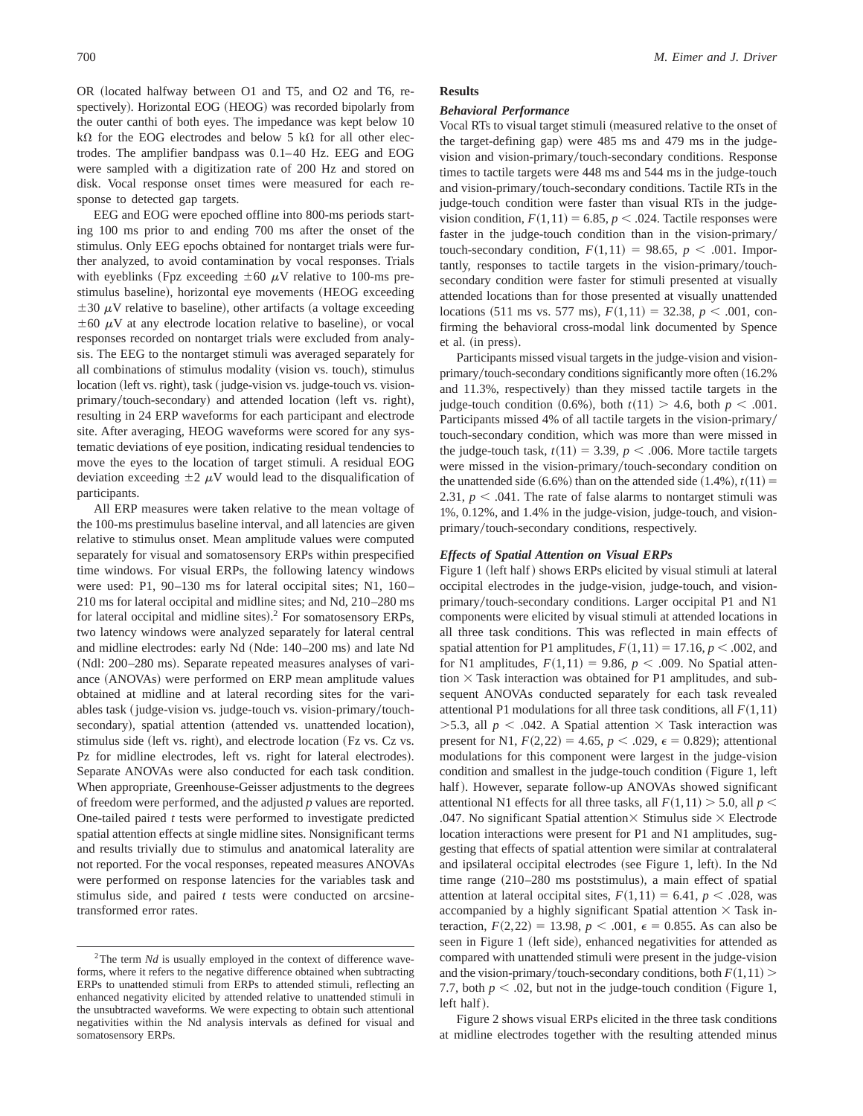OR (located halfway between O1 and T5, and O2 and T6, respectively). Horizontal EOG (HEOG) was recorded bipolarly from the outer canthi of both eyes. The impedance was kept below 10 k $\Omega$  for the EOG electrodes and below 5 k $\Omega$  for all other electrodes. The amplifier bandpass was 0.1–40 Hz. EEG and EOG were sampled with a digitization rate of 200 Hz and stored on disk. Vocal response onset times were measured for each response to detected gap targets.

EEG and EOG were epoched offline into 800-ms periods starting 100 ms prior to and ending 700 ms after the onset of the stimulus. Only EEG epochs obtained for nontarget trials were further analyzed, to avoid contamination by vocal responses. Trials with eyeblinks (Fpz exceeding  $\pm 60 \mu$ V relative to 100-ms prestimulus baseline), horizontal eye movements (HEOG exceeding  $\pm$ 30  $\mu$ V relative to baseline), other artifacts (a voltage exceeding  $\pm 60 \mu$ V at any electrode location relative to baseline), or vocal responses recorded on nontarget trials were excluded from analysis. The EEG to the nontarget stimuli was averaged separately for all combinations of stimulus modality (vision vs. touch), stimulus location (left vs. right), task (judge-vision vs. judge-touch vs. visionprimary/touch-secondary) and attended location (left vs. right), resulting in 24 ERP waveforms for each participant and electrode site. After averaging, HEOG waveforms were scored for any systematic deviations of eye position, indicating residual tendencies to move the eyes to the location of target stimuli. A residual EOG deviation exceeding  $\pm 2 \mu V$  would lead to the disqualification of participants.

All ERP measures were taken relative to the mean voltage of the 100-ms prestimulus baseline interval, and all latencies are given relative to stimulus onset. Mean amplitude values were computed separately for visual and somatosensory ERPs within prespecified time windows. For visual ERPs, the following latency windows were used: P1, 90–130 ms for lateral occipital sites; N1, 160– 210 ms for lateral occipital and midline sites; and Nd, 210–280 ms for lateral occipital and midline sites). $2$  For somatosensory ERPs, two latency windows were analyzed separately for lateral central and midline electrodes: early Nd (Nde: 140–200 ms) and late Nd (Ndl: 200–280 ms). Separate repeated measures analyses of variance (ANOVAs) were performed on ERP mean amplitude values obtained at midline and at lateral recording sites for the variables task (judge-vision vs. judge-touch vs. vision-primary/touchsecondary), spatial attention (attended vs. unattended location), stimulus side (left vs. right), and electrode location (Fz vs. Cz vs. Pz for midline electrodes, left vs. right for lateral electrodes). Separate ANOVAs were also conducted for each task condition. When appropriate, Greenhouse-Geisser adjustments to the degrees of freedom were performed, and the adjusted *p* values are reported. One-tailed paired *t* tests were performed to investigate predicted spatial attention effects at single midline sites. Nonsignificant terms and results trivially due to stimulus and anatomical laterality are not reported. For the vocal responses, repeated measures ANOVAs were performed on response latencies for the variables task and stimulus side, and paired *t* tests were conducted on arcsinetransformed error rates.

## **Results**

## *Behavioral Performance*

Vocal RTs to visual target stimuli (measured relative to the onset of the target-defining gap) were  $485$  ms and  $479$  ms in the judgevision and vision-primary/touch-secondary conditions. Response times to tactile targets were 448 ms and 544 ms in the judge-touch and vision-primary/touch-secondary conditions. Tactile RTs in the judge-touch condition were faster than visual RTs in the judgevision condition,  $F(1,11) = 6.85$ ,  $p < .024$ . Tactile responses were faster in the judge-touch condition than in the vision-primary/ touch-secondary condition,  $F(1,11) = 98.65$ ,  $p < .001$ . Importantly, responses to tactile targets in the vision-primary/touchsecondary condition were faster for stimuli presented at visually attended locations than for those presented at visually unattended locations  $(511 \text{ ms vs. } 577 \text{ ms})$ ,  $F(1,11) = 32.38$ ,  $p < .001$ , confirming the behavioral cross-modal link documented by Spence et al. (in press).

Participants missed visual targets in the judge-vision and visionprimary/touch-secondary conditions significantly more often  $(16.2\%)$ and 11.3%, respectively) than they missed tactile targets in the judge-touch condition  $(0.6\%)$ , both  $t(11) > 4.6$ , both  $p < .001$ . Participants missed 4% of all tactile targets in the vision-primary/ touch-secondary condition, which was more than were missed in the judge-touch task,  $t(11) = 3.39$ ,  $p < .006$ . More tactile targets were missed in the vision-primary/touch-secondary condition on the unattended side  $(6.6\%)$  than on the attended side  $(1.4\%)$ ,  $t(11)$  = 2.31,  $p < .041$ . The rate of false alarms to nontarget stimuli was 1%, 0.12%, and 1.4% in the judge-vision, judge-touch, and visionprimary/touch-secondary conditions, respectively.

## *Effects of Spatial Attention on Visual ERPs*

Figure 1 (left half) shows ERPs elicited by visual stimuli at lateral occipital electrodes in the judge-vision, judge-touch, and visionprimary/touch-secondary conditions. Larger occipital P1 and N1 components were elicited by visual stimuli at attended locations in all three task conditions. This was reflected in main effects of spatial attention for P1 amplitudes,  $F(1,11) = 17.16$ ,  $p < .002$ , and for N1 amplitudes,  $F(1,11) = 9.86$ ,  $p < .009$ . No Spatial attention  $\times$  Task interaction was obtained for P1 amplitudes, and subsequent ANOVAs conducted separately for each task revealed attentional P1 modulations for all three task conditions, all  $F(1,11)$  $>$ 5.3, all  $p \lt 0.042$ . A Spatial attention  $\times$  Task interaction was present for N1,  $F(2,22) = 4.65$ ,  $p < .029$ ,  $\epsilon = 0.829$ ); attentional modulations for this component were largest in the judge-vision condition and smallest in the judge-touch condition (Figure 1, left half). However, separate follow-up ANOVAs showed significant attentional N1 effects for all three tasks, all  $F(1,11) > 5.0$ , all  $p <$ .047. No significant Spatial attention $\times$  Stimulus side  $\times$  Electrode location interactions were present for P1 and N1 amplitudes, suggesting that effects of spatial attention were similar at contralateral and ipsilateral occipital electrodes (see Figure 1, left). In the Nd time range  $(210–280 \text{ ms poststimulus})$ , a main effect of spatial attention at lateral occipital sites,  $F(1,11) = 6.41$ ,  $p < .028$ , was accompanied by a highly significant Spatial attention  $\times$  Task interaction,  $F(2,22) = 13.98$ ,  $p < .001$ ,  $\epsilon = 0.855$ . As can also be seen in Figure 1 (left side), enhanced negativities for attended as compared with unattended stimuli were present in the judge-vision and the vision-primary/touch-secondary conditions, both  $F(1,11)$  > 7.7, both  $p < .02$ , but not in the judge-touch condition (Figure 1, left half).

Figure 2 shows visual ERPs elicited in the three task conditions at midline electrodes together with the resulting attended minus

 $2$ The term *Nd* is usually employed in the context of difference waveforms, where it refers to the negative difference obtained when subtracting ERPs to unattended stimuli from ERPs to attended stimuli, reflecting an enhanced negativity elicited by attended relative to unattended stimuli in the unsubtracted waveforms. We were expecting to obtain such attentional negativities within the Nd analysis intervals as defined for visual and somatosensory ERPs.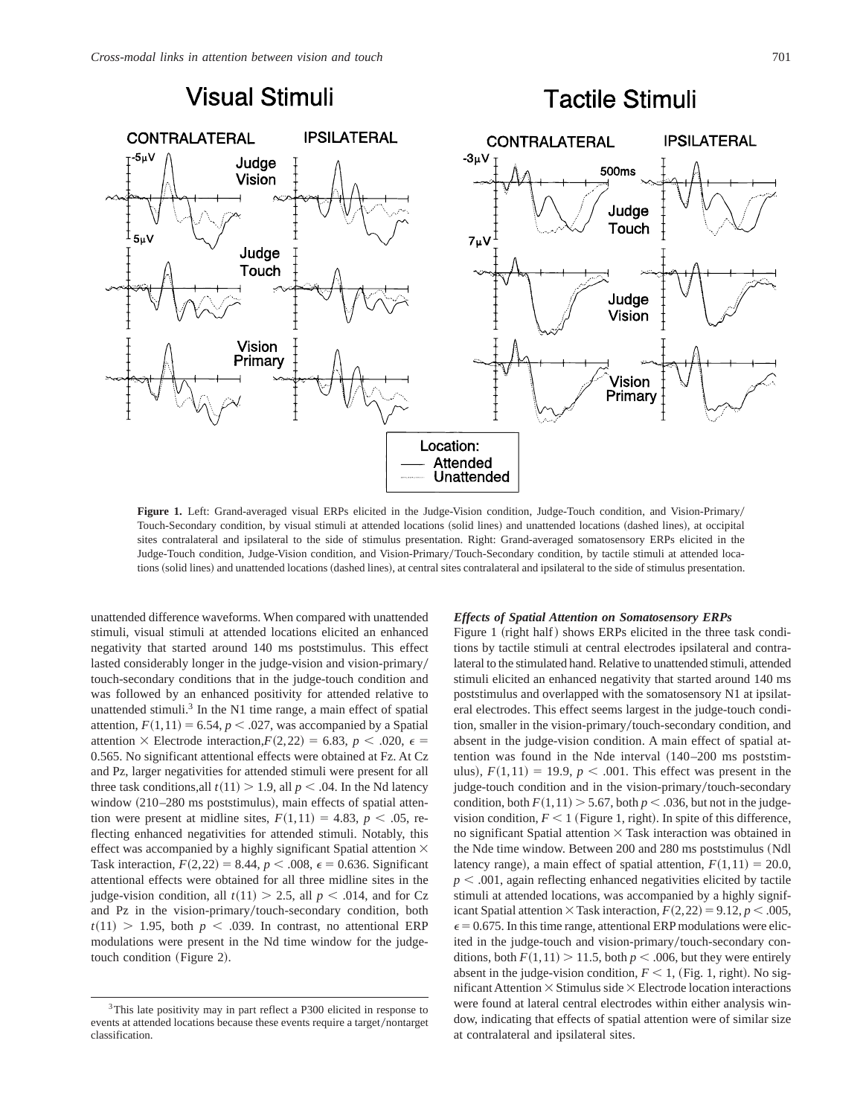

Figure 1. Left: Grand-averaged visual ERPs elicited in the Judge-Vision condition, Judge-Touch condition, and Vision-Primary/ Touch-Secondary condition, by visual stimuli at attended locations (solid lines) and unattended locations (dashed lines), at occipital sites contralateral and ipsilateral to the side of stimulus presentation. Right: Grand-averaged somatosensory ERPs elicited in the Judge-Touch condition, Judge-Vision condition, and Vision-Primary/Touch-Secondary condition, by tactile stimuli at attended locations (solid lines) and unattended locations (dashed lines), at central sites contralateral and ipsilateral to the side of stimulus presentation.

unattended difference waveforms. When compared with unattended stimuli, visual stimuli at attended locations elicited an enhanced negativity that started around 140 ms poststimulus. This effect lasted considerably longer in the judge-vision and vision-primary/ touch-secondary conditions that in the judge-touch condition and was followed by an enhanced positivity for attended relative to unattended stimuli.<sup>3</sup> In the N1 time range, a main effect of spatial attention,  $F(1,11) = 6.54$ ,  $p < .027$ , was accompanied by a Spatial attention  $\times$  Electrode interaction, $F(2,22) = 6.83$ ,  $p < .020$ ,  $\epsilon$ 0.565. No significant attentional effects were obtained at Fz. At Cz and Pz, larger negativities for attended stimuli were present for all three task conditions, all  $t(11) > 1.9$ , all  $p < .04$ . In the Nd latency window  $(210–280 \text{ ms poststimulus})$ , main effects of spatial attention were present at midline sites,  $F(1,11) = 4.83$ ,  $p < .05$ , reflecting enhanced negativities for attended stimuli. Notably, this effect was accompanied by a highly significant Spatial attention  $\times$ Task interaction,  $F(2,22) = 8.44$ ,  $p < .008$ ,  $\epsilon = 0.636$ . Significant attentional effects were obtained for all three midline sites in the judge-vision condition, all  $t(11) > 2.5$ , all  $p < .014$ , and for Cz and Pz in the vision-primary/touch-secondary condition, both  $t(11) > 1.95$ , both  $p < .039$ . In contrast, no attentional ERP modulations were present in the Nd time window for the judgetouch condition (Figure 2).

#### *Effects of Spatial Attention on Somatosensory ERPs*

Figure 1 (right half) shows ERPs elicited in the three task conditions by tactile stimuli at central electrodes ipsilateral and contralateral to the stimulated hand. Relative to unattended stimuli, attended stimuli elicited an enhanced negativity that started around 140 ms poststimulus and overlapped with the somatosensory N1 at ipsilateral electrodes. This effect seems largest in the judge-touch condition, smaller in the vision-primary/touch-secondary condition, and absent in the judge-vision condition. A main effect of spatial attention was found in the Nde interval  $(140–200 \text{ ms poststim}$ ulus),  $F(1,11) = 19.9$ ,  $p < .001$ . This effect was present in the judge-touch condition and in the vision-primary/touch-secondary condition, both  $F(1,11)$  > 5.67, both  $p < .036$ , but not in the judgevision condition,  $F \leq 1$  (Figure 1, right). In spite of this difference, no significant Spatial attention  $\times$  Task interaction was obtained in the Nde time window. Between 200 and 280 ms poststimulus (Ndl latency range), a main effect of spatial attention,  $F(1,11) = 20.0$ ,  $p < .001$ , again reflecting enhanced negativities elicited by tactile stimuli at attended locations, was accompanied by a highly significant Spatial attention  $\times$  Task interaction,  $F(2,22) = 9.12$ ,  $p < .005$ ,  $\epsilon$  = 0.675. In this time range, attentional ERP modulations were elicited in the judge-touch and vision-primary/touch-secondary conditions, both  $F(1,11) > 11.5$ , both  $p < .006$ , but they were entirely absent in the judge-vision condition,  $F < 1$ , (Fig. 1, right). No significant Attention $\times$ Stimulus side $\times$ Electrode location interactions were found at lateral central electrodes within either analysis window, indicating that effects of spatial attention were of similar size at contralateral and ipsilateral sites.

<sup>&</sup>lt;sup>3</sup>This late positivity may in part reflect a P300 elicited in response to events at attended locations because these events require a target/nontarget classification.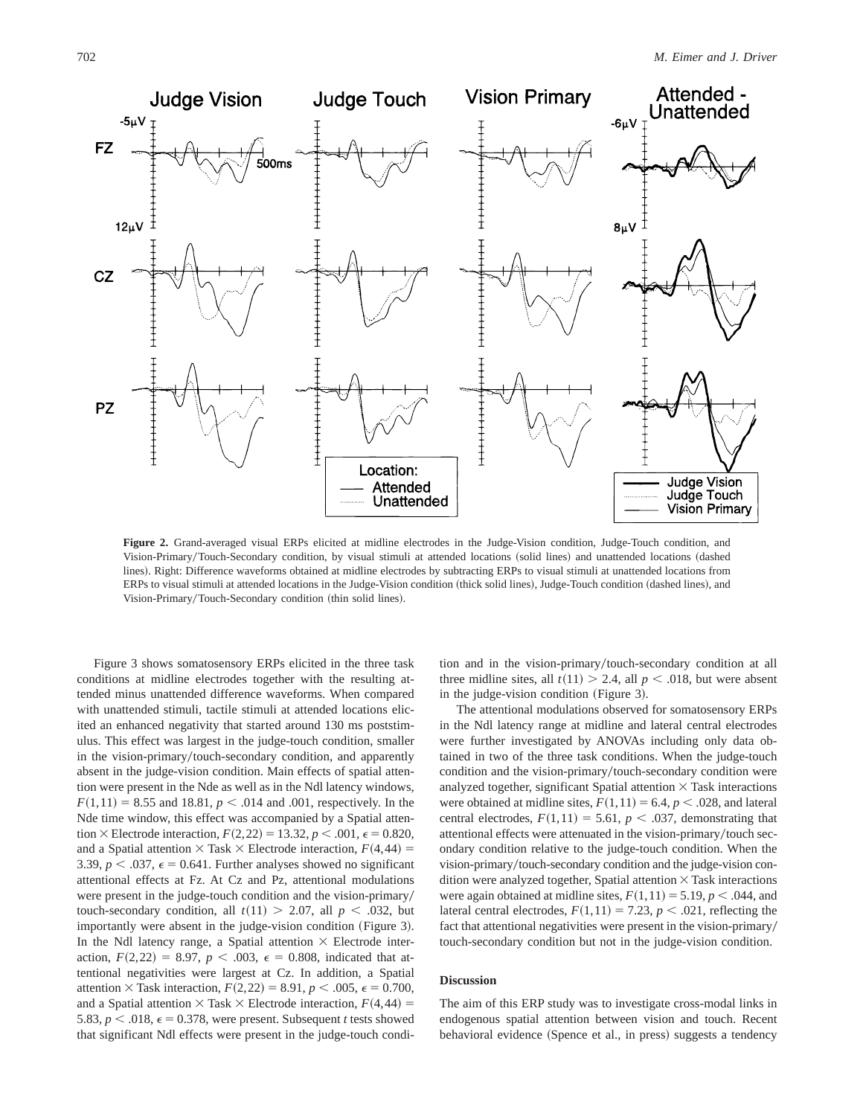

**Figure 2.** Grand-averaged visual ERPs elicited at midline electrodes in the Judge-Vision condition, Judge-Touch condition, and Vision-Primary/Touch-Secondary condition, by visual stimuli at attended locations (solid lines) and unattended locations (dashed lines). Right: Difference waveforms obtained at midline electrodes by subtracting ERPs to visual stimuli at unattended locations from ERPs to visual stimuli at attended locations in the Judge-Vision condition (thick solid lines), Judge-Touch condition (dashed lines), and Vision-Primary/Touch-Secondary condition (thin solid lines).

Figure 3 shows somatosensory ERPs elicited in the three task conditions at midline electrodes together with the resulting attended minus unattended difference waveforms. When compared with unattended stimuli, tactile stimuli at attended locations elicited an enhanced negativity that started around 130 ms poststimulus. This effect was largest in the judge-touch condition, smaller in the vision-primary/touch-secondary condition, and apparently absent in the judge-vision condition. Main effects of spatial attention were present in the Nde as well as in the Ndl latency windows,  $F(1,11) = 8.55$  and 18.81,  $p < .014$  and .001, respectively. In the Nde time window, this effect was accompanied by a Spatial attention  $\times$  Electrode interaction,  $F(2,22) = 13.32, p < .001, \epsilon = 0.820,$ and a Spatial attention  $\times$  Task  $\times$  Electrode interaction,  $F(4,44) =$ 3.39,  $p < .037$ ,  $\epsilon = 0.641$ . Further analyses showed no significant attentional effects at Fz. At Cz and Pz, attentional modulations were present in the judge-touch condition and the vision-primary/ touch-secondary condition, all  $t(11) > 2.07$ , all  $p < .032$ , but importantly were absent in the judge-vision condition (Figure 3). In the Ndl latency range, a Spatial attention  $\times$  Electrode interaction,  $F(2,22) = 8.97$ ,  $p < .003$ ,  $\epsilon = 0.808$ , indicated that attentional negativities were largest at Cz. In addition, a Spatial attention  $\times$  Task interaction,  $F(2,22) = 8.91, p < .005, \epsilon = 0.700$ , and a Spatial attention  $\times$  Task  $\times$  Electrode interaction,  $F(4,44) =$ 5.83,  $p < .018$ ,  $\epsilon = 0.378$ , were present. Subsequent *t* tests showed that significant Ndl effects were present in the judge-touch condition and in the vision-primary/touch-secondary condition at all three midline sites, all  $t(11) > 2.4$ , all  $p < .018$ , but were absent in the judge-vision condition (Figure 3).

The attentional modulations observed for somatosensory ERPs in the Ndl latency range at midline and lateral central electrodes were further investigated by ANOVAs including only data obtained in two of the three task conditions. When the judge-touch condition and the vision-primary/touch-secondary condition were analyzed together, significant Spatial attention  $\times$  Task interactions were obtained at midline sites,  $F(1,11) = 6.4$ ,  $p < .028$ , and lateral central electrodes,  $F(1,11) = 5.61$ ,  $p < .037$ , demonstrating that attentional effects were attenuated in the vision-primary/touch secondary condition relative to the judge-touch condition. When the vision-primary/touch-secondary condition and the judge-vision condition were analyzed together, Spatial attention  $\times$  Task interactions were again obtained at midline sites,  $F(1,11) = 5.19, p < .044$ , and lateral central electrodes,  $F(1,11) = 7.23$ ,  $p < .021$ , reflecting the fact that attentional negativities were present in the vision-primary/ touch-secondary condition but not in the judge-vision condition.

#### **Discussion**

The aim of this ERP study was to investigate cross-modal links in endogenous spatial attention between vision and touch. Recent behavioral evidence (Spence et al., in press) suggests a tendency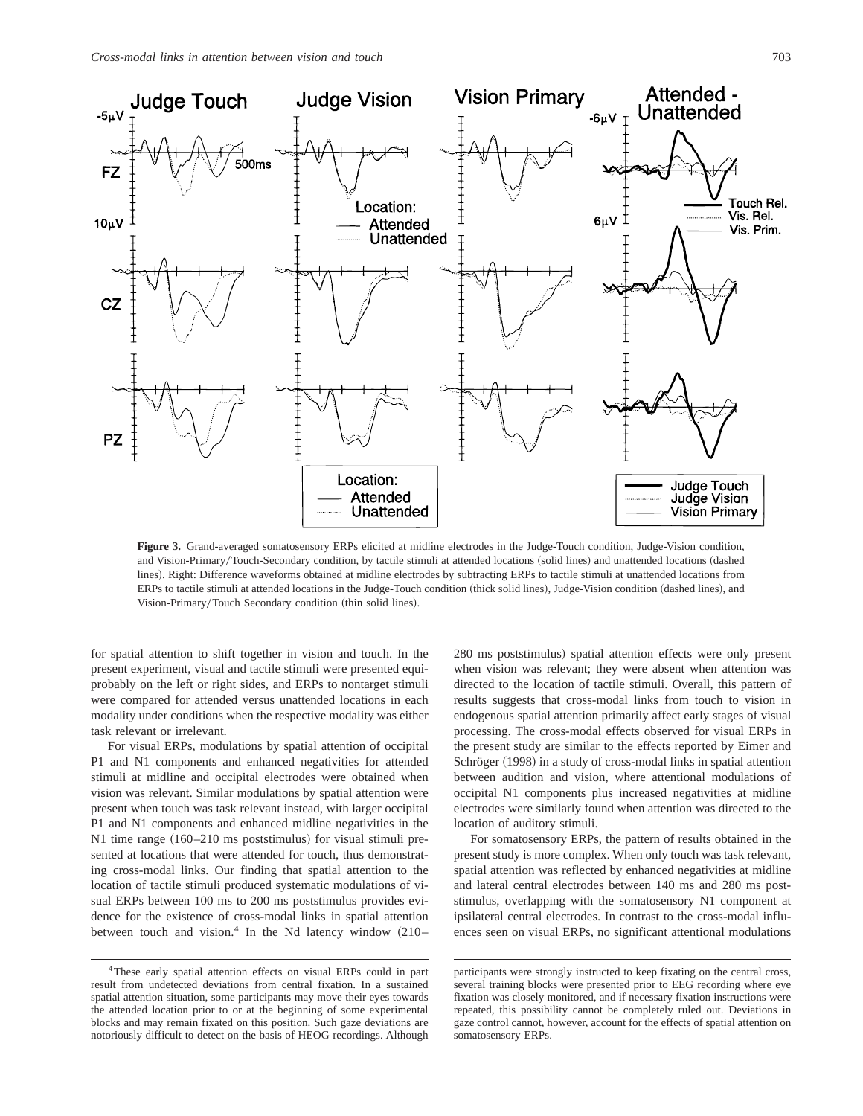

**Figure 3.** Grand-averaged somatosensory ERPs elicited at midline electrodes in the Judge-Touch condition, Judge-Vision condition, and Vision-Primary/Touch-Secondary condition, by tactile stimuli at attended locations (solid lines) and unattended locations (dashed lines). Right: Difference waveforms obtained at midline electrodes by subtracting ERPs to tactile stimuli at unattended locations from ERPs to tactile stimuli at attended locations in the Judge-Touch condition (thick solid lines), Judge-Vision condition (dashed lines), and Vision-Primary/Touch Secondary condition (thin solid lines).

for spatial attention to shift together in vision and touch. In the present experiment, visual and tactile stimuli were presented equiprobably on the left or right sides, and ERPs to nontarget stimuli were compared for attended versus unattended locations in each modality under conditions when the respective modality was either task relevant or irrelevant.

For visual ERPs, modulations by spatial attention of occipital P1 and N1 components and enhanced negativities for attended stimuli at midline and occipital electrodes were obtained when vision was relevant. Similar modulations by spatial attention were present when touch was task relevant instead, with larger occipital P1 and N1 components and enhanced midline negativities in the  $N1$  time range  $(160–210 \text{ ms poststimulus})$  for visual stimuli presented at locations that were attended for touch, thus demonstrating cross-modal links. Our finding that spatial attention to the location of tactile stimuli produced systematic modulations of visual ERPs between 100 ms to 200 ms poststimulus provides evidence for the existence of cross-modal links in spatial attention between touch and vision.<sup>4</sup> In the Nd latency window  $(210-$  280 ms poststimulus) spatial attention effects were only present when vision was relevant; they were absent when attention was directed to the location of tactile stimuli. Overall, this pattern of results suggests that cross-modal links from touch to vision in endogenous spatial attention primarily affect early stages of visual processing. The cross-modal effects observed for visual ERPs in the present study are similar to the effects reported by Eimer and Schröger (1998) in a study of cross-modal links in spatial attention between audition and vision, where attentional modulations of occipital N1 components plus increased negativities at midline electrodes were similarly found when attention was directed to the location of auditory stimuli.

For somatosensory ERPs, the pattern of results obtained in the present study is more complex. When only touch was task relevant, spatial attention was reflected by enhanced negativities at midline and lateral central electrodes between 140 ms and 280 ms poststimulus, overlapping with the somatosensory N1 component at ipsilateral central electrodes. In contrast to the cross-modal influences seen on visual ERPs, no significant attentional modulations

<sup>4</sup>These early spatial attention effects on visual ERPs could in part result from undetected deviations from central fixation. In a sustained spatial attention situation, some participants may move their eyes towards the attended location prior to or at the beginning of some experimental blocks and may remain fixated on this position. Such gaze deviations are notoriously difficult to detect on the basis of HEOG recordings. Although

participants were strongly instructed to keep fixating on the central cross, several training blocks were presented prior to EEG recording where eye fixation was closely monitored, and if necessary fixation instructions were repeated, this possibility cannot be completely ruled out. Deviations in gaze control cannot, however, account for the effects of spatial attention on somatosensory ERPs.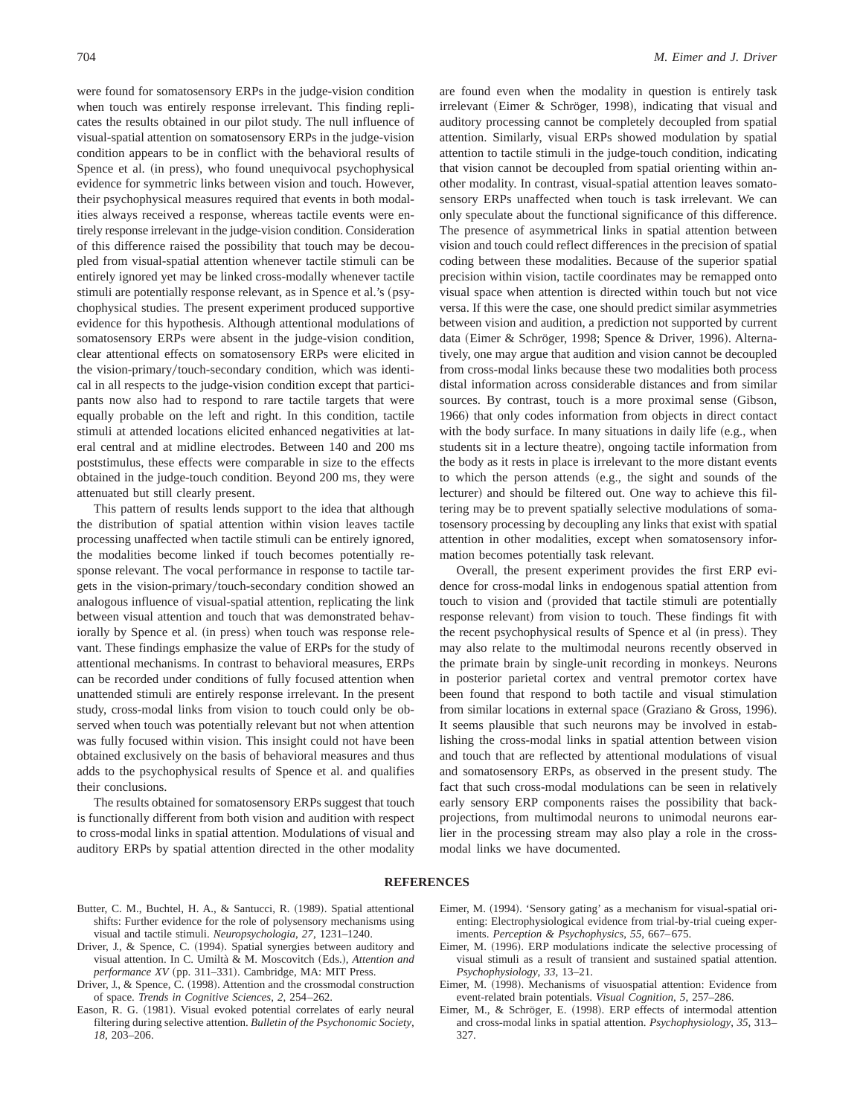were found for somatosensory ERPs in the judge-vision condition when touch was entirely response irrelevant. This finding replicates the results obtained in our pilot study. The null influence of visual-spatial attention on somatosensory ERPs in the judge-vision condition appears to be in conflict with the behavioral results of Spence et al. (in press), who found unequivocal psychophysical evidence for symmetric links between vision and touch. However, their psychophysical measures required that events in both modalities always received a response, whereas tactile events were entirely response irrelevant in the judge-vision condition. Consideration of this difference raised the possibility that touch may be decoupled from visual-spatial attention whenever tactile stimuli can be entirely ignored yet may be linked cross-modally whenever tactile stimuli are potentially response relevant, as in Spence et al.'s (psychophysical studies. The present experiment produced supportive evidence for this hypothesis. Although attentional modulations of somatosensory ERPs were absent in the judge-vision condition, clear attentional effects on somatosensory ERPs were elicited in the vision-primary/touch-secondary condition, which was identical in all respects to the judge-vision condition except that participants now also had to respond to rare tactile targets that were equally probable on the left and right. In this condition, tactile stimuli at attended locations elicited enhanced negativities at lateral central and at midline electrodes. Between 140 and 200 ms poststimulus, these effects were comparable in size to the effects obtained in the judge-touch condition. Beyond 200 ms, they were attenuated but still clearly present.

This pattern of results lends support to the idea that although the distribution of spatial attention within vision leaves tactile processing unaffected when tactile stimuli can be entirely ignored, the modalities become linked if touch becomes potentially response relevant. The vocal performance in response to tactile targets in the vision-primary/touch-secondary condition showed an analogous influence of visual-spatial attention, replicating the link between visual attention and touch that was demonstrated behaviorally by Spence et al. (in press) when touch was response relevant. These findings emphasize the value of ERPs for the study of attentional mechanisms. In contrast to behavioral measures, ERPs can be recorded under conditions of fully focused attention when unattended stimuli are entirely response irrelevant. In the present study, cross-modal links from vision to touch could only be observed when touch was potentially relevant but not when attention was fully focused within vision. This insight could not have been obtained exclusively on the basis of behavioral measures and thus adds to the psychophysical results of Spence et al. and qualifies their conclusions.

The results obtained for somatosensory ERPs suggest that touch is functionally different from both vision and audition with respect to cross-modal links in spatial attention. Modulations of visual and auditory ERPs by spatial attention directed in the other modality

are found even when the modality in question is entirely task  $irrelevant$  (Eimer & Schröger, 1998), indicating that visual and auditory processing cannot be completely decoupled from spatial attention. Similarly, visual ERPs showed modulation by spatial attention to tactile stimuli in the judge-touch condition, indicating that vision cannot be decoupled from spatial orienting within another modality. In contrast, visual-spatial attention leaves somatosensory ERPs unaffected when touch is task irrelevant. We can only speculate about the functional significance of this difference. The presence of asymmetrical links in spatial attention between vision and touch could reflect differences in the precision of spatial coding between these modalities. Because of the superior spatial precision within vision, tactile coordinates may be remapped onto visual space when attention is directed within touch but not vice versa. If this were the case, one should predict similar asymmetries between vision and audition, a prediction not supported by current data (Eimer & Schröger, 1998; Spence & Driver, 1996). Alternatively, one may argue that audition and vision cannot be decoupled from cross-modal links because these two modalities both process distal information across considerable distances and from similar sources. By contrast, touch is a more proximal sense (Gibson, 1966) that only codes information from objects in direct contact with the body surface. In many situations in daily life (e.g., when students sit in a lecture theatre), ongoing tactile information from the body as it rests in place is irrelevant to the more distant events to which the person attends (e.g., the sight and sounds of the lecturer) and should be filtered out. One way to achieve this filtering may be to prevent spatially selective modulations of somatosensory processing by decoupling any links that exist with spatial attention in other modalities, except when somatosensory information becomes potentially task relevant.

Overall, the present experiment provides the first ERP evidence for cross-modal links in endogenous spatial attention from touch to vision and (provided that tactile stimuli are potentially response relevant) from vision to touch. These findings fit with the recent psychophysical results of Spence et al (in press). They may also relate to the multimodal neurons recently observed in the primate brain by single-unit recording in monkeys. Neurons in posterior parietal cortex and ventral premotor cortex have been found that respond to both tactile and visual stimulation from similar locations in external space (Graziano & Gross, 1996). It seems plausible that such neurons may be involved in establishing the cross-modal links in spatial attention between vision and touch that are reflected by attentional modulations of visual and somatosensory ERPs, as observed in the present study. The fact that such cross-modal modulations can be seen in relatively early sensory ERP components raises the possibility that backprojections, from multimodal neurons to unimodal neurons earlier in the processing stream may also play a role in the crossmodal links we have documented.

## **REFERENCES**

- Butter, C. M., Buchtel, H. A., & Santucci, R. (1989). Spatial attentional shifts: Further evidence for the role of polysensory mechanisms using visual and tactile stimuli. *Neuropsychologia*, *27*, 1231–1240.
- Driver, J., & Spence, C. (1994). Spatial synergies between auditory and visual attention. In C. Umiltà & M. Moscovitch (Eds.), *Attention and performance XV* (pp. 311–331). Cambridge, MA: MIT Press.
- Driver, J., & Spence, C. (1998). Attention and the crossmodal construction of space. *Trends in Cognitive Sciences*, *2*, 254–262.
- Eason, R. G. (1981). Visual evoked potential correlates of early neural filtering during selective attention. *Bulletin of the Psychonomic Society*, *18*, 203–206.
- Eimer, M. (1994). 'Sensory gating' as a mechanism for visual-spatial orienting: Electrophysiological evidence from trial-by-trial cueing experiments. *Perception & Psychophysics*, *55*, 667–675.
- Eimer, M. (1996). ERP modulations indicate the selective processing of visual stimuli as a result of transient and sustained spatial attention. *Psychophysiology*, *33*, 13–21.
- Eimer, M. (1998). Mechanisms of visuospatial attention: Evidence from event-related brain potentials. *Visual Cognition*, *5*, 257–286.
- Eimer, M., & Schröger, E. (1998). ERP effects of intermodal attention and cross-modal links in spatial attention. *Psychophysiology*, *35*, 313– 327.